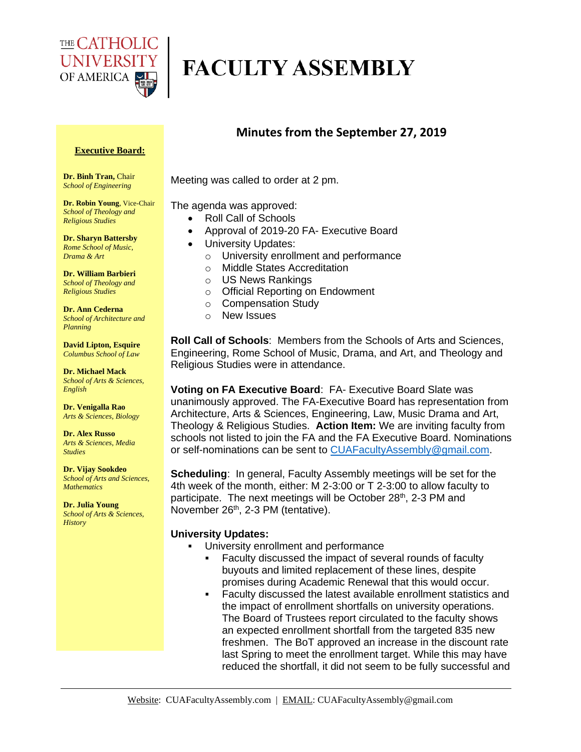

# **FACULTY ASSEMBLY**

### **Minutes from the September 27, 2019**

#### **Executive Board:**

**Dr. Binh Tran,** Chair *School of Engineering*

**Dr. Robin Young**, Vice-Chair *School of Theology and Religious Studies*

**Dr. Sharyn Battersby** *Rome School of Music, Drama & Art* 

**Dr. William Barbieri** *School of Theology and Religious Studies*

**Dr. Ann Cederna** *School of Architecture and Planning* 

**David Lipton, Esquire** *Columbus School of Law*

**Dr. Michael Mack** *School of Arts & Sciences, English*

**Dr. Venigalla Rao** *Arts & Sciences, Biology*

**Dr. Alex Russo** *Arts & Sciences, Media Studies*

**Dr. Vijay Sookdeo** *School of Arts and Sciences, Mathematics*

**Dr. Julia Young** *School of Arts & Sciences, History*

Meeting was called to order at 2 pm.

The agenda was approved:

- Roll Call of Schools
- Approval of 2019-20 FA- Executive Board
- University Updates:
	- o University enrollment and performance
	- o Middle States Accreditation
	- o US News Rankings
	- o Official Reporting on Endowment
	- o Compensation Study
	- o New Issues

**Roll Call of Schools**: Members from the Schools of Arts and Sciences, Engineering, Rome School of Music, Drama, and Art, and Theology and Religious Studies were in attendance.

**Voting on FA Executive Board: FA- Executive Board Slate was** unanimously approved. The FA-Executive Board has representation from Architecture, Arts & Sciences, Engineering, Law, Music Drama and Art, Theology & Religious Studies. **Action Item:** We are inviting faculty from schools not listed to join the FA and the FA Executive Board. Nominations or self-nominations can be sent to [CUAFacultyAssembly@gmail.com.](mailto:CUAFacultyAssembly@gmail.com)

**Scheduling:** In general, Faculty Assembly meetings will be set for the 4th week of the month, either: M 2-3:00 or T 2-3:00 to allow faculty to participate. The next meetings will be October  $28<sup>th</sup>$ , 2-3 PM and November 26<sup>th</sup>, 2-3 PM (tentative).

#### **University Updates:**

- University enrollment and performance
	- Faculty discussed the impact of several rounds of faculty buyouts and limited replacement of these lines, despite promises during Academic Renewal that this would occur.
	- Faculty discussed the latest available enrollment statistics and the impact of enrollment shortfalls on university operations. The Board of Trustees report circulated to the faculty shows an expected enrollment shortfall from the targeted 835 new freshmen. The BoT approved an increase in the discount rate last Spring to meet the enrollment target. While this may have reduced the shortfall, it did not seem to be fully successful and